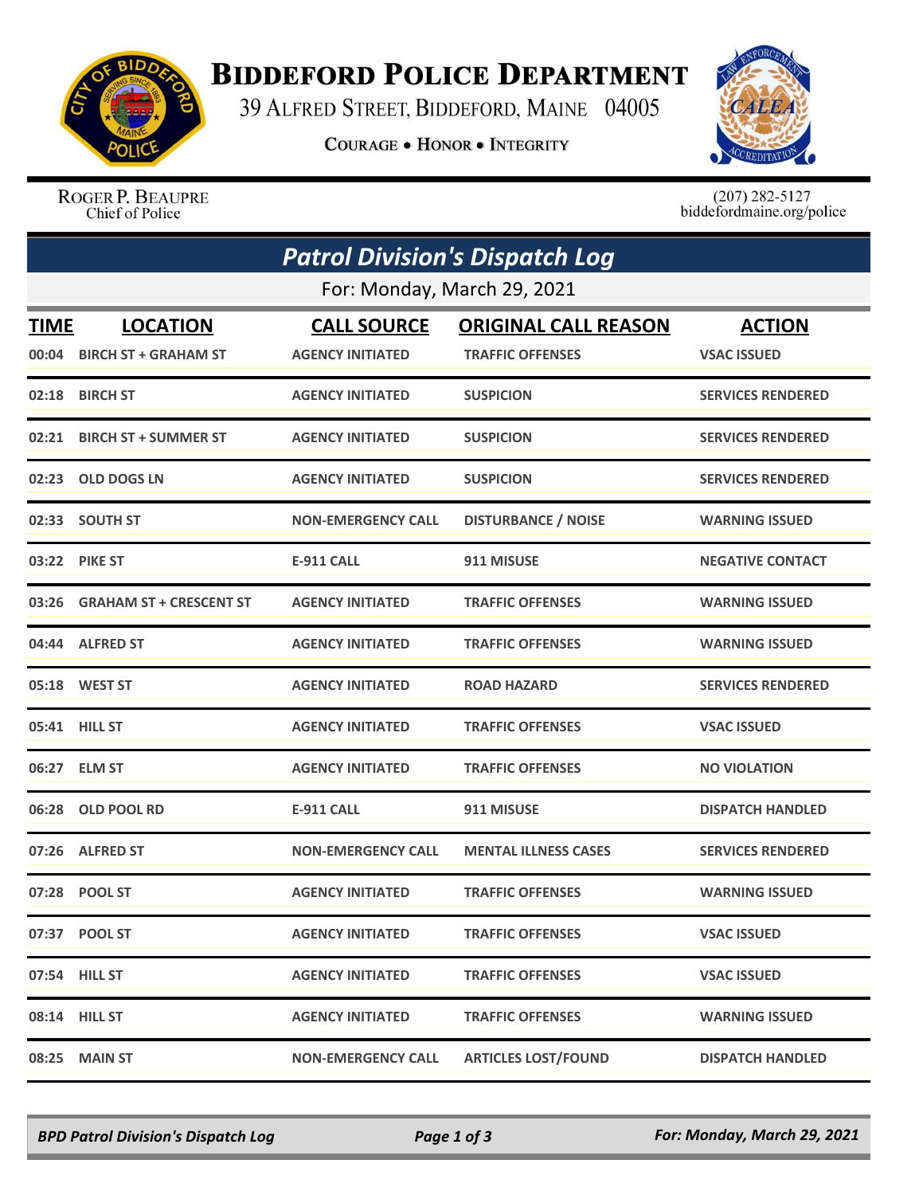

## **BIDDEFORD POLICE DEPARTMENT**

39 ALFRED STREET, BIDDEFORD, MAINE 04005

**COURAGE . HONOR . INTEGRITY** 



ROGER P. BEAUPRE Chief of Police

 $(207)$  282-5127<br>biddefordmaine.org/police

| <b>Patrol Division's Dispatch Log</b><br>For: Monday, March 29, 2021 |                                |                           |                             |                          |  |  |  |
|----------------------------------------------------------------------|--------------------------------|---------------------------|-----------------------------|--------------------------|--|--|--|
|                                                                      |                                |                           |                             |                          |  |  |  |
|                                                                      | 00:04 BIRCH ST + GRAHAM ST     | <b>AGENCY INITIATED</b>   | <b>TRAFFIC OFFENSES</b>     | <b>VSAC ISSUED</b>       |  |  |  |
| 02:18                                                                | <b>BIRCH ST</b>                | <b>AGENCY INITIATED</b>   | <b>SUSPICION</b>            | <b>SERVICES RENDERED</b> |  |  |  |
| 02:21                                                                | <b>BIRCH ST + SUMMER ST</b>    | <b>AGENCY INITIATED</b>   | <b>SUSPICION</b>            | <b>SERVICES RENDERED</b> |  |  |  |
| 02:23                                                                | <b>OLD DOGS LN</b>             | <b>AGENCY INITIATED</b>   | <b>SUSPICION</b>            | <b>SERVICES RENDERED</b> |  |  |  |
|                                                                      | 02:33 SOUTH ST                 | <b>NON-EMERGENCY CALL</b> | <b>DISTURBANCE / NOISE</b>  | <b>WARNING ISSUED</b>    |  |  |  |
|                                                                      | 03:22 PIKE ST                  | <b>E-911 CALL</b>         | 911 MISUSE                  | <b>NEGATIVE CONTACT</b>  |  |  |  |
| 03:26                                                                | <b>GRAHAM ST + CRESCENT ST</b> | <b>AGENCY INITIATED</b>   | <b>TRAFFIC OFFENSES</b>     | <b>WARNING ISSUED</b>    |  |  |  |
|                                                                      | 04:44 ALFRED ST                | <b>AGENCY INITIATED</b>   | <b>TRAFFIC OFFENSES</b>     | <b>WARNING ISSUED</b>    |  |  |  |
|                                                                      | 05:18 WEST ST                  | <b>AGENCY INITIATED</b>   | <b>ROAD HAZARD</b>          | <b>SERVICES RENDERED</b> |  |  |  |
|                                                                      | 05:41 HILL ST                  | <b>AGENCY INITIATED</b>   | <b>TRAFFIC OFFENSES</b>     | <b>VSAC ISSUED</b>       |  |  |  |
|                                                                      | 06:27 ELM ST                   | <b>AGENCY INITIATED</b>   | <b>TRAFFIC OFFENSES</b>     | <b>NO VIOLATION</b>      |  |  |  |
| 06:28                                                                | <b>OLD POOL RD</b>             | E-911 CALL                | 911 MISUSE                  | <b>DISPATCH HANDLED</b>  |  |  |  |
| 07:26                                                                | <b>ALFRED ST</b>               | <b>NON-EMERGENCY CALL</b> | <b>MENTAL ILLNESS CASES</b> | <b>SERVICES RENDERED</b> |  |  |  |
|                                                                      | 07:28 POOL ST                  | <b>AGENCY INITIATED</b>   | <b>TRAFFIC OFFENSES</b>     | <b>WARNING ISSUED</b>    |  |  |  |
|                                                                      | 07:37 POOL ST                  | <b>AGENCY INITIATED</b>   | <b>TRAFFIC OFFENSES</b>     | <b>VSAC ISSUED</b>       |  |  |  |
|                                                                      | 07:54 HILL ST                  | <b>AGENCY INITIATED</b>   | <b>TRAFFIC OFFENSES</b>     | <b>VSAC ISSUED</b>       |  |  |  |
|                                                                      | 08:14 HILL ST                  | <b>AGENCY INITIATED</b>   | <b>TRAFFIC OFFENSES</b>     | <b>WARNING ISSUED</b>    |  |  |  |
| 08:25                                                                | <b>MAIN ST</b>                 | <b>NON-EMERGENCY CALL</b> | <b>ARTICLES LOST/FOUND</b>  | <b>DISPATCH HANDLED</b>  |  |  |  |

*BPD Patrol Division's Dispatch Log Page 1 of 3 For: Monday, March 29, 2021*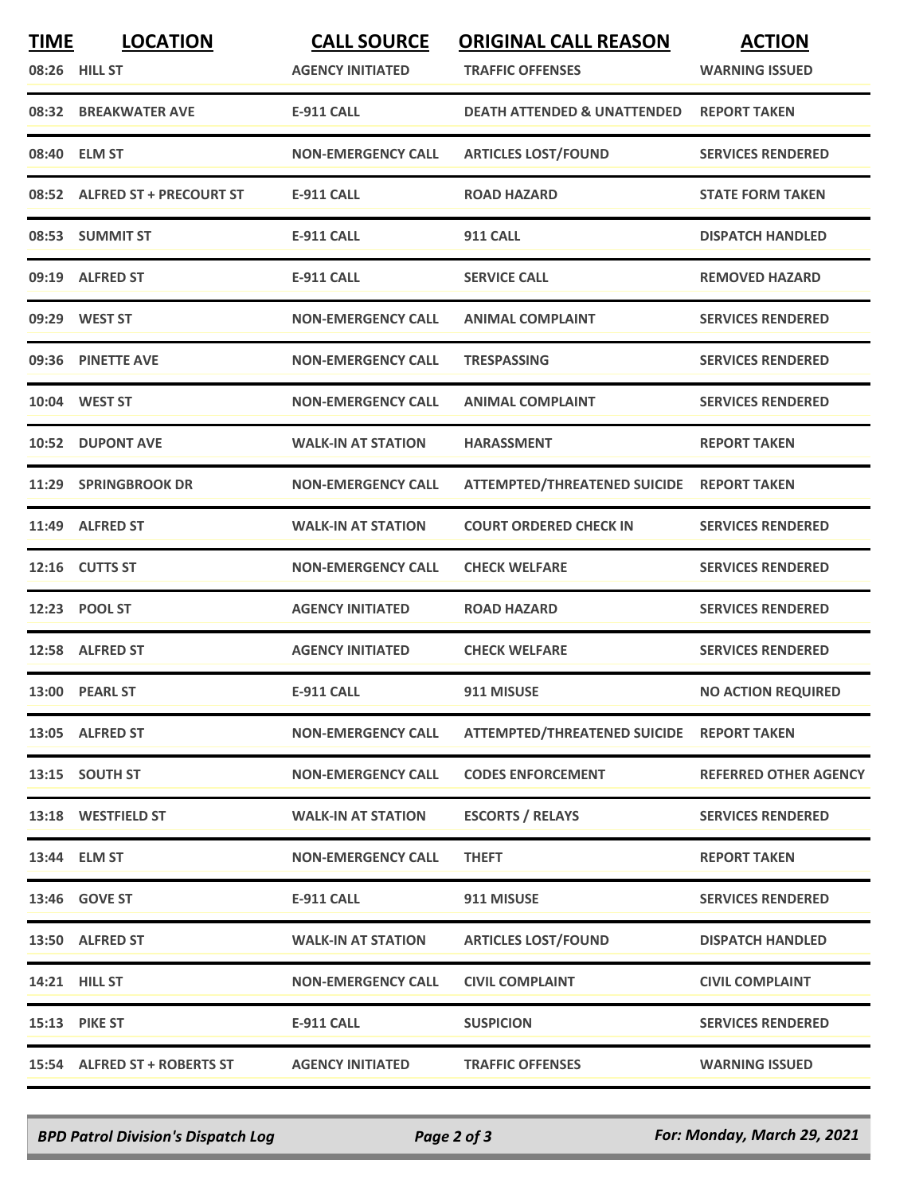| <b>TIME</b> | <b>LOCATION</b><br>08:26 HILL ST | <b>CALL SOURCE</b><br><b>AGENCY INITIATED</b> | <b>ORIGINAL CALL REASON</b><br><b>TRAFFIC OFFENSES</b> | <b>ACTION</b><br><b>WARNING ISSUED</b> |
|-------------|----------------------------------|-----------------------------------------------|--------------------------------------------------------|----------------------------------------|
|             | 08:32 BREAKWATER AVE             | <b>E-911 CALL</b>                             | <b>DEATH ATTENDED &amp; UNATTENDED</b>                 | <b>REPORT TAKEN</b>                    |
|             | 08:40 ELM ST                     | <b>NON-EMERGENCY CALL</b>                     | <b>ARTICLES LOST/FOUND</b>                             | <b>SERVICES RENDERED</b>               |
|             | 08:52 ALFRED ST + PRECOURT ST    | <b>E-911 CALL</b>                             | <b>ROAD HAZARD</b>                                     | <b>STATE FORM TAKEN</b>                |
|             | 08:53 SUMMIT ST                  | <b>E-911 CALL</b>                             | <b>911 CALL</b>                                        | <b>DISPATCH HANDLED</b>                |
|             | 09:19 ALFRED ST                  | <b>E-911 CALL</b>                             | <b>SERVICE CALL</b>                                    | <b>REMOVED HAZARD</b>                  |
|             | 09:29 WEST ST                    | <b>NON-EMERGENCY CALL</b>                     | <b>ANIMAL COMPLAINT</b>                                | <b>SERVICES RENDERED</b>               |
|             | 09:36 PINETTE AVE                | <b>NON-EMERGENCY CALL</b>                     | <b>TRESPASSING</b>                                     | <b>SERVICES RENDERED</b>               |
|             | 10:04 WEST ST                    | <b>NON-EMERGENCY CALL</b>                     | <b>ANIMAL COMPLAINT</b>                                | <b>SERVICES RENDERED</b>               |
| 10:52       | <b>DUPONT AVE</b>                | <b>WALK-IN AT STATION</b>                     | <b>HARASSMENT</b>                                      | <b>REPORT TAKEN</b>                    |
|             | 11:29 SPRINGBROOK DR             | <b>NON-EMERGENCY CALL</b>                     | <b>ATTEMPTED/THREATENED SUICIDE</b>                    | <b>REPORT TAKEN</b>                    |
| 11:49       | <b>ALFRED ST</b>                 | <b>WALK-IN AT STATION</b>                     | <b>COURT ORDERED CHECK IN</b>                          | <b>SERVICES RENDERED</b>               |
|             | 12:16 CUTTS ST                   | <b>NON-EMERGENCY CALL</b>                     | <b>CHECK WELFARE</b>                                   | <b>SERVICES RENDERED</b>               |
|             | 12:23 POOL ST                    | <b>AGENCY INITIATED</b>                       | <b>ROAD HAZARD</b>                                     | <b>SERVICES RENDERED</b>               |
|             | 12:58 ALFRED ST                  | <b>AGENCY INITIATED</b>                       | <b>CHECK WELFARE</b>                                   | <b>SERVICES RENDERED</b>               |
|             | 13:00 PEARL ST                   | <b>E-911 CALL</b>                             | 911 MISUSE                                             | <b>NO ACTION REQUIRED</b>              |
|             | 13:05 ALFRED ST                  | <b>NON-EMERGENCY CALL</b>                     | ATTEMPTED/THREATENED SUICIDE REPORT TAKEN              |                                        |
|             | 13:15 SOUTH ST                   | <b>NON-EMERGENCY CALL</b>                     | <b>CODES ENFORCEMENT</b>                               | <b>REFERRED OTHER AGENCY</b>           |
|             | 13:18 WESTFIELD ST               | <b>WALK-IN AT STATION</b>                     | <b>ESCORTS / RELAYS</b>                                | <b>SERVICES RENDERED</b>               |
|             | 13:44 ELM ST                     | <b>NON-EMERGENCY CALL</b>                     | <b>THEFT</b>                                           | <b>REPORT TAKEN</b>                    |
|             | 13:46 GOVE ST                    | <b>E-911 CALL</b>                             | 911 MISUSE                                             | <b>SERVICES RENDERED</b>               |
|             | 13:50 ALFRED ST                  | <b>WALK-IN AT STATION</b>                     | <b>ARTICLES LOST/FOUND</b>                             | <b>DISPATCH HANDLED</b>                |
|             | 14:21 HILL ST                    | <b>NON-EMERGENCY CALL</b>                     | <b>CIVIL COMPLAINT</b>                                 | <b>CIVIL COMPLAINT</b>                 |
|             | 15:13 PIKE ST                    | <b>E-911 CALL</b>                             | <b>SUSPICION</b>                                       | <b>SERVICES RENDERED</b>               |
|             | 15:54 ALFRED ST + ROBERTS ST     | <b>AGENCY INITIATED</b>                       | <b>TRAFFIC OFFENSES</b>                                | <b>WARNING ISSUED</b>                  |

*BPD Patrol Division's Dispatch Log Page 2 of 3 For: Monday, March 29, 2021*